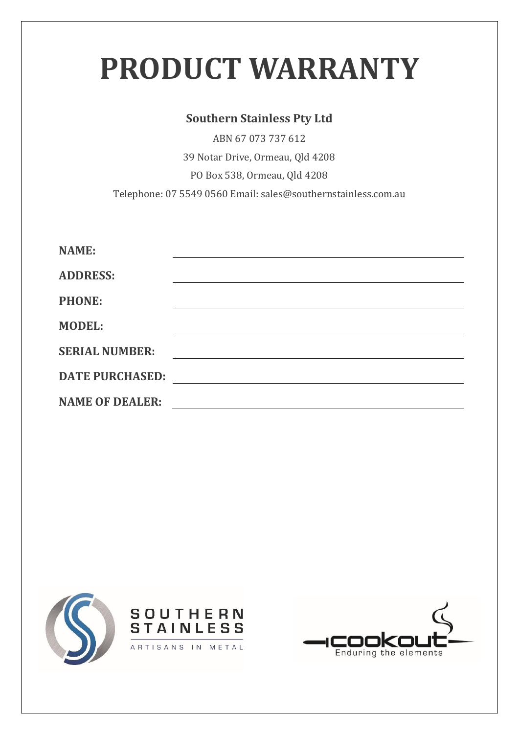# **PRODUCT WARRANTY**

#### **Southern Stainless Pty Ltd**

ABN 67 073 737 612 39 Notar Drive, Ormeau, Qld 4208 PO Box 538, Ormeau, Qld 4208 Telephone: 07 5549 0560 Email: sales@southernstainless.com.au

| <b>NAME:</b>           |  |
|------------------------|--|
| <b>ADDRESS:</b>        |  |
| <b>PHONE:</b>          |  |
| <b>MODEL:</b>          |  |
| <b>SERIAL NUMBER:</b>  |  |
| <b>DATE PURCHASED:</b> |  |
| <b>NAME OF DEALER:</b> |  |





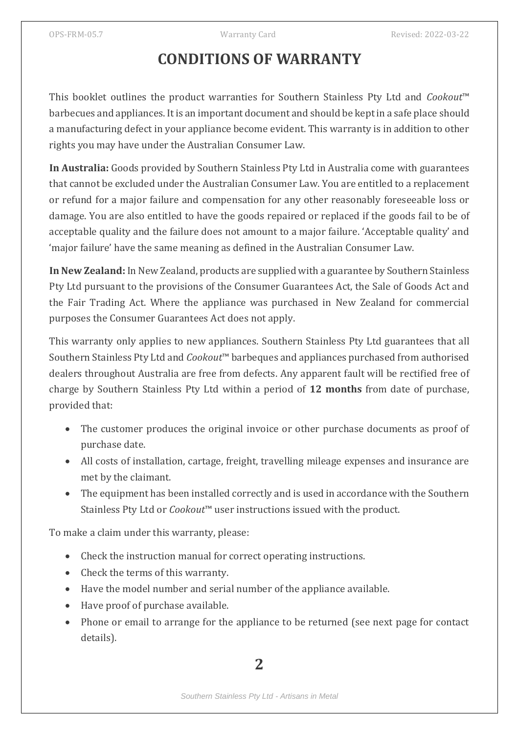# **CONDITIONS OF WARRANTY**

This booklet outlines the product warranties for Southern Stainless Pty Ltd and *Cookout*™ barbecues and appliances. It is an important document and should be kept in a safe place should a manufacturing defect in your appliance become evident. This warranty is in addition to other rights you may have under the Australian Consumer Law.

**In Australia:** Goods provided by Southern Stainless Pty Ltd in Australia come with guarantees that cannot be excluded under the Australian Consumer Law. You are entitled to a replacement or refund for a major failure and compensation for any other reasonably foreseeable loss or damage. You are also entitled to have the goods repaired or replaced if the goods fail to be of acceptable quality and the failure does not amount to a major failure. 'Acceptable quality' and 'major failure' have the same meaning as defined in the Australian Consumer Law.

**In New Zealand:** In New Zealand, products are supplied with a guarantee by Southern Stainless Pty Ltd pursuant to the provisions of the Consumer Guarantees Act, the Sale of Goods Act and the Fair Trading Act. Where the appliance was purchased in New Zealand for commercial purposes the Consumer Guarantees Act does not apply.

This warranty only applies to new appliances. Southern Stainless Pty Ltd guarantees that all Southern Stainless Pty Ltd and *Cookout*™ barbeques and appliances purchased from authorised dealers throughout Australia are free from defects. Any apparent fault will be rectified free of charge by Southern Stainless Pty Ltd within a period of **12 months** from date of purchase, provided that:

- The customer produces the original invoice or other purchase documents as proof of purchase date.
- All costs of installation, cartage, freight, travelling mileage expenses and insurance are met by the claimant.
- The equipment has been installed correctly and is used in accordance with the Southern Stainless Pty Ltd or *Cookout*™ user instructions issued with the product.

To make a claim under this warranty, please:

- Check the instruction manual for correct operating instructions.
- Check the terms of this warranty.
- Have the model number and serial number of the appliance available.
- Have proof of purchase available.
- Phone or email to arrange for the appliance to be returned (see next page for contact details).

**2**